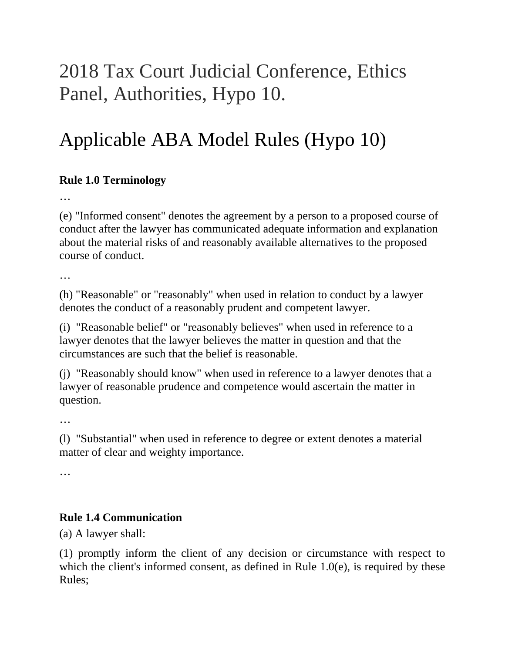# 2018 Tax Court Judicial Conference, Ethics Panel, Authorities, Hypo 10.

# Applicable ABA Model Rules (Hypo 10)

## **Rule 1.0 Terminology**

…

(e) "Informed consent" denotes the agreement by a person to a proposed course of conduct after the lawyer has communicated adequate information and explanation about the material risks of and reasonably available alternatives to the proposed course of conduct.

…

(h) "Reasonable" or "reasonably" when used in relation to conduct by a lawyer denotes the conduct of a reasonably prudent and competent lawyer.

(i) "Reasonable belief" or "reasonably believes" when used in reference to a lawyer denotes that the lawyer believes the matter in question and that the circumstances are such that the belief is reasonable.

(j) "Reasonably should know" when used in reference to a lawyer denotes that a lawyer of reasonable prudence and competence would ascertain the matter in question.

…

(l) "Substantial" when used in reference to degree or extent denotes a material matter of clear and weighty importance.

…

## **Rule 1.4 Communication**

(a) A lawyer shall:

(1) promptly inform the client of any decision or circumstance with respect to which the client's informed consent, as defined in Rule 1.0(e), is required by these Rules;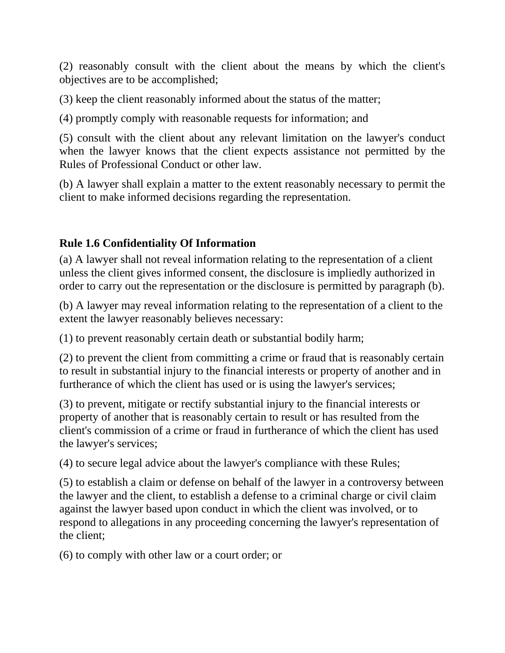(2) reasonably consult with the client about the means by which the client's objectives are to be accomplished;

(3) keep the client reasonably informed about the status of the matter;

(4) promptly comply with reasonable requests for information; and

(5) consult with the client about any relevant limitation on the lawyer's conduct when the lawyer knows that the client expects assistance not permitted by the Rules of Professional Conduct or other law.

(b) A lawyer shall explain a matter to the extent reasonably necessary to permit the client to make informed decisions regarding the representation.

## **Rule 1.6 Confidentiality Of Information**

(a) A lawyer shall not reveal information relating to the representation of a client unless the client gives informed consent, the disclosure is impliedly authorized in order to carry out the representation or the disclosure is permitted by paragraph (b).

(b) A lawyer may reveal information relating to the representation of a client to the extent the lawyer reasonably believes necessary:

(1) to prevent reasonably certain death or substantial bodily harm;

(2) to prevent the client from committing a crime or fraud that is reasonably certain to result in substantial injury to the financial interests or property of another and in furtherance of which the client has used or is using the lawyer's services;

(3) to prevent, mitigate or rectify substantial injury to the financial interests or property of another that is reasonably certain to result or has resulted from the client's commission of a crime or fraud in furtherance of which the client has used the lawyer's services;

(4) to secure legal advice about the lawyer's compliance with these Rules;

(5) to establish a claim or defense on behalf of the lawyer in a controversy between the lawyer and the client, to establish a defense to a criminal charge or civil claim against the lawyer based upon conduct in which the client was involved, or to respond to allegations in any proceeding concerning the lawyer's representation of the client;

(6) to comply with other law or a court order; or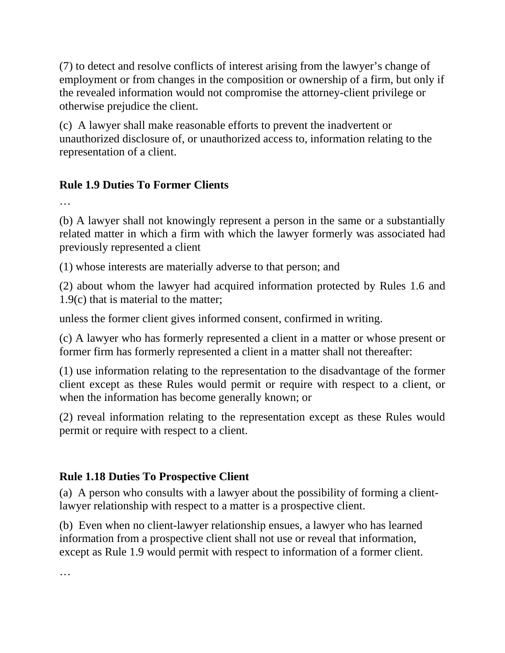(7) to detect and resolve conflicts of interest arising from the lawyer's change of employment or from changes in the composition or ownership of a firm, but only if the revealed information would not compromise the attorney-client privilege or otherwise prejudice the client.

(c) A lawyer shall make reasonable efforts to prevent the inadvertent or unauthorized disclosure of, or unauthorized access to, information relating to the representation of a client.

# **Rule 1.9 Duties To Former Clients**

…

(b) A lawyer shall not knowingly represent a person in the same or a substantially related matter in which a firm with which the lawyer formerly was associated had previously represented a client

(1) whose interests are materially adverse to that person; and

(2) about whom the lawyer had acquired information protected by Rules 1.6 and 1.9(c) that is material to the matter;

unless the former client gives informed consent, confirmed in writing.

(c) A lawyer who has formerly represented a client in a matter or whose present or former firm has formerly represented a client in a matter shall not thereafter:

(1) use information relating to the representation to the disadvantage of the former client except as these Rules would permit or require with respect to a client, or when the information has become generally known; or

(2) reveal information relating to the representation except as these Rules would permit or require with respect to a client.

## **Rule 1.18 Duties To Prospective Client**

(a) A person who consults with a lawyer about the possibility of forming a clientlawyer relationship with respect to a matter is a prospective client.

(b) Even when no client-lawyer relationship ensues, a lawyer who has learned information from a prospective client shall not use or reveal that information, except as Rule 1.9 would permit with respect to information of a former client.

…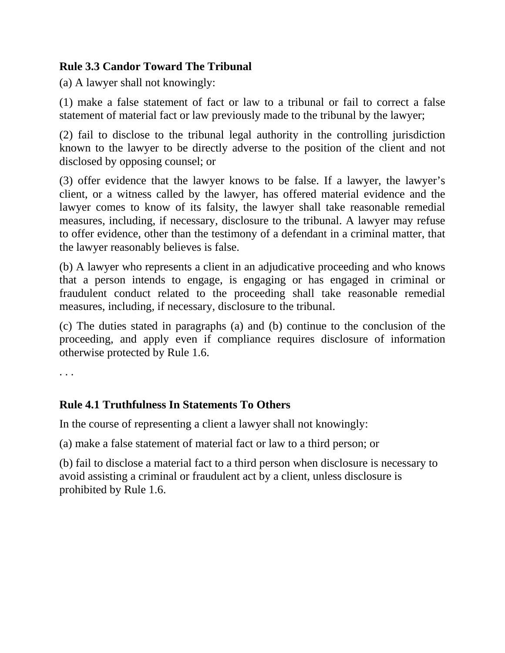### **Rule 3.3 Candor Toward The Tribunal**

(a) A lawyer shall not knowingly:

(1) make a false statement of fact or law to a tribunal or fail to correct a false statement of material fact or law previously made to the tribunal by the lawyer;

(2) fail to disclose to the tribunal legal authority in the controlling jurisdiction known to the lawyer to be directly adverse to the position of the client and not disclosed by opposing counsel; or

(3) offer evidence that the lawyer knows to be false. If a lawyer, the lawyer's client, or a witness called by the lawyer, has offered material evidence and the lawyer comes to know of its falsity, the lawyer shall take reasonable remedial measures, including, if necessary, disclosure to the tribunal. A lawyer may refuse to offer evidence, other than the testimony of a defendant in a criminal matter, that the lawyer reasonably believes is false.

(b) A lawyer who represents a client in an adjudicative proceeding and who knows that a person intends to engage, is engaging or has engaged in criminal or fraudulent conduct related to the proceeding shall take reasonable remedial measures, including, if necessary, disclosure to the tribunal.

(c) The duties stated in paragraphs (a) and (b) continue to the conclusion of the proceeding, and apply even if compliance requires disclosure of information otherwise protected by Rule 1.6.

. . .

# **Rule 4.1 Truthfulness In Statements To Others**

In the course of representing a client a lawyer shall not knowingly:

(a) make a false statement of material fact or law to a third person; or

(b) fail to disclose a material fact to a third person when disclosure is necessary to avoid assisting a criminal or fraudulent act by a client, unless disclosure is prohibited by Rule 1.6.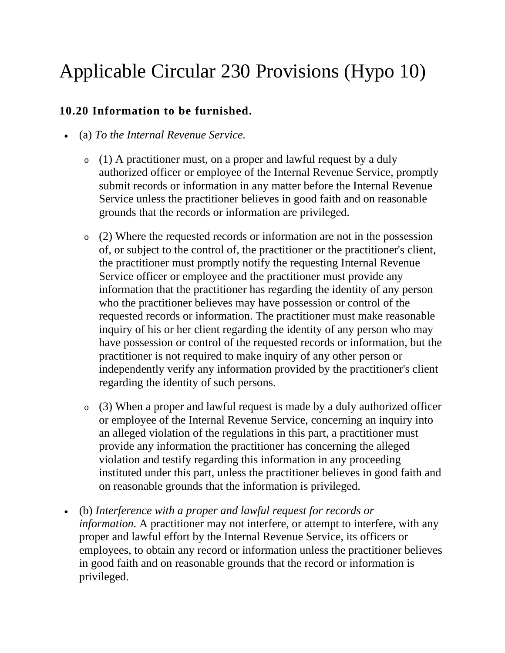# Applicable Circular 230 Provisions (Hypo 10)

## **10.20 Information to be furnished.**

- (a) *To the Internal Revenue Service.*
	- $\circ$  (1) A practitioner must, on a proper and lawful request by a duly authorized officer or employee of the Internal Revenue Service, promptly submit records or information in any matter before the Internal Revenue Service unless the practitioner believes in good faith and on reasonable grounds that the records or information are privileged.
	- <sup>o</sup> (2) Where the requested records or information are not in the possession of, or subject to the control of, the practitioner or the practitioner's client, the practitioner must promptly notify the requesting Internal Revenue Service officer or employee and the practitioner must provide any information that the practitioner has regarding the identity of any person who the practitioner believes may have possession or control of the requested records or information. The practitioner must make reasonable inquiry of his or her client regarding the identity of any person who may have possession or control of the requested records or information, but the practitioner is not required to make inquiry of any other person or independently verify any information provided by the practitioner's client regarding the identity of such persons.
	- <sup>o</sup> (3) When a proper and lawful request is made by a duly authorized officer or employee of the Internal Revenue Service, concerning an inquiry into an alleged violation of the regulations in this part, a practitioner must provide any information the practitioner has concerning the alleged violation and testify regarding this information in any proceeding instituted under this part, unless the practitioner believes in good faith and on reasonable grounds that the information is privileged.
- (b) *Interference with a proper and lawful request for records or information.* A practitioner may not interfere, or attempt to interfere, with any proper and lawful effort by the Internal Revenue Service, its officers or employees, to obtain any record or information unless the practitioner believes in good faith and on reasonable grounds that the record or information is privileged.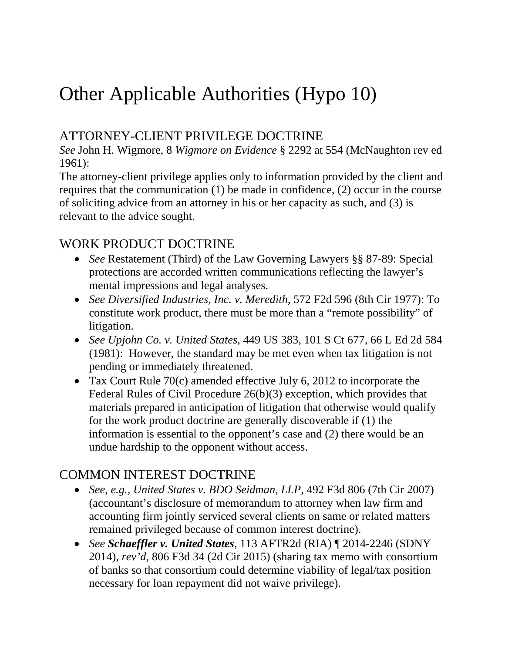# Other Applicable Authorities (Hypo 10)

# ATTORNEY-CLIENT PRIVILEGE DOCTRINE

*See* John H. Wigmore, 8 *Wigmore on Evidence* § 2292 at 554 (McNaughton rev ed 1961):

The attorney-client privilege applies only to information provided by the client and requires that the communication (1) be made in confidence, (2) occur in the course of soliciting advice from an attorney in his or her capacity as such, and (3) is relevant to the advice sought.

# WORK PRODUCT DOCTRINE

- *See* Restatement (Third) of the Law Governing Lawyers §§ 87-89: Special protections are accorded written communications reflecting the lawyer's mental impressions and legal analyses.
- *See Diversified Industries, Inc. v. Meredith*, 572 F2d 596 (8th Cir 1977): To constitute work product, there must be more than a "remote possibility" of litigation.
- *See Upjohn Co. v. United States*, 449 US 383, 101 S Ct 677, 66 L Ed 2d 584 (1981): However, the standard may be met even when tax litigation is not pending or immediately threatened.
- Tax Court Rule 70(c) amended effective July 6, 2012 to incorporate the Federal Rules of Civil Procedure 26(b)(3) exception, which provides that materials prepared in anticipation of litigation that otherwise would qualify for the work product doctrine are generally discoverable if (1) the information is essential to the opponent's case and (2) there would be an undue hardship to the opponent without access.

# COMMON INTEREST DOCTRINE

- *See, e.g., United States v. BDO Seidman, LLP*, 492 F3d 806 (7th Cir 2007) (accountant's disclosure of memorandum to attorney when law firm and accounting firm jointly serviced several clients on same or related matters remained privileged because of common interest doctrine).
- *See Schaeffler v. United States*, 113 AFTR2d (RIA) ¶ 2014-2246 (SDNY 2014), *rev'd*, 806 F3d 34 (2d Cir 2015) (sharing tax memo with consortium of banks so that consortium could determine viability of legal/tax position necessary for loan repayment did not waive privilege).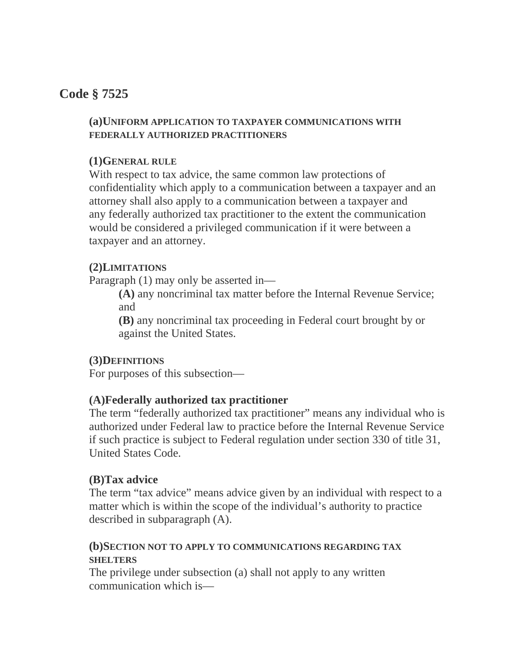## **Code § 7525**

### **(a)UNIFORM APPLICATION TO TAXPAYER COMMUNICATIONS WITH FEDERALLY AUTHORIZED PRACTITIONERS**

#### **(1)GENERAL RULE**

With respect to tax advice, the same common law protections of confidentiality which apply to a communication between a taxpayer and an attorney shall also apply to a communication between a taxpayer and any federally authorized tax practitioner to the extent the communication would be considered a privileged communication if it were between a taxpayer and an attorney.

#### **(2)LIMITATIONS**

Paragraph (1) may only be asserted in—

**(A)** any noncriminal tax matter before the Internal Revenue Service; and

**(B)** any noncriminal tax proceeding in Federal court brought by or against the United States.

#### **(3)DEFINITIONS**

For purposes of this subsection—

### **(A)Federally authorized tax practitioner**

The term "federally authorized tax practitioner" means any individual who is authorized under Federal law to practice before the Internal Revenue Service if such practice is subject to Federal regulation under section 330 of title 31, United States Code.

### **(B)Tax advice**

The term "tax advice" means advice given by an individual with respect to a matter which is within the scope of the individual's authority to practice described in subparagraph (A).

### **(b)SECTION NOT TO APPLY TO COMMUNICATIONS REGARDING TAX SHELTERS**

The privilege under subsection (a) shall not apply to any written communication which is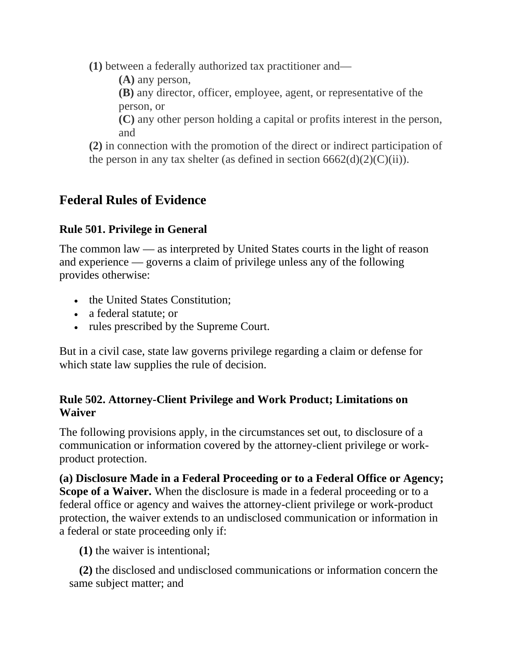**(1)** between a federally authorized tax practitioner and—

**(A)** any person,

**(B)** any director, officer, employee, agent, or representative of the person, or

**(C)** any other person holding a capital or profits interest in the person, and

**(2)** in connection with the promotion of the direct or indirect participation of the person in any tax shelter (as defined in section  $6662(d)(2)(C)(ii)$ ).

# **Federal Rules of Evidence**

# **Rule 501. Privilege in General**

The common law — as interpreted by United States courts in the light of reason and experience — governs a claim of privilege unless any of the following provides otherwise:

- the United States Constitution:
- a federal statute; or
- rules prescribed by the Supreme Court.

But in a civil case, state law governs privilege regarding a claim or defense for which state law supplies the rule of decision.

## **Rule 502. Attorney-Client Privilege and Work Product; Limitations on Waiver**

The following provisions apply, in the circumstances set out, to disclosure of a communication or information covered by the attorney-client privilege or workproduct protection.

**(a) Disclosure Made in a Federal Proceeding or to a Federal Office or Agency; Scope of a Waiver.** When the disclosure is made in a federal proceeding or to a federal office or agency and waives the attorney-client privilege or work-product protection, the waiver extends to an undisclosed communication or information in a federal or state proceeding only if:

**(1)** the waiver is intentional;

**(2)** the disclosed and undisclosed communications or information concern the same subject matter; and